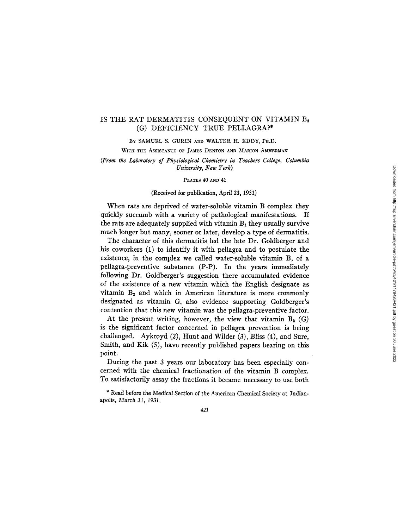# IS THE RAT DERMATITIS CONSEQUENT ON VITAMIN B<sub>2</sub> (G) DEFICIENCY TRUE PELLAGRA?\*

BY SAMUEL S. GURIN AND WALTER H. EDDY, PH.D.

WITH THE ASSISTANCE OF JAMES DENTON AND MARION AMMERMAN

*(From the Laboratory of Physiological Chemistry in Teachers College, Columbia University, New York)* 

PLATES 40 AND 41

#### (Received for publication, April 23, 1931)

When rats are deprived of water-soluble vitamin B complex they quickly succumb with a variety of pathological manifestations. If the rats are adequately supplied with vitamin  $B_1$  they usually survive much longer but many, sooner or later, develop a type of dermatitis.

The character of this dermatitis led the late Dr. Goldberger and his coworkers (1) to identify it with pellagra and to postulate the existence, in the complex we called water-soluble vitamin B, of a pellagra-preventive substance (P-P). In the years immediately following Dr. Goldberger's suggestion there accumulated evidence of the existence of a new vitamin which the English designate as vitamin  $B_2$  and which in American literature is more commonly designated as vitamin G, also evidence supporting Goldberger's contention that this new vitamin was the pellagra-preventive factor.

At the present writing, however, the view that vitamin  $B_2$  (G) is the significant factor concerned in pellagra prevention is being challenged. Aykroyd (2), Hunt and Wilder (3), Bliss (4), and Sure, Smith, and Kik (5), have recently published papers bearing on this point.

During the past 3 years our laboratory has been especially concerned with the chemical fractionation of the vitamin B complex. To satisfactorily assay the fractions it became necessary to use both

\* Read before the Medfcal Section of the American Chemical Society at Indianapolis, March 31, 1931.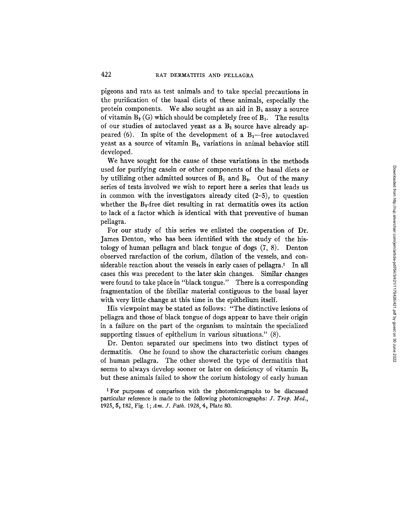pigeons and rats as test animals and to take special precautions in the purification of the basal diets of these animals, especially the protein components. We also sought as an aid in  $B_1$  assay a source of vitamin  $B_2(G)$  which should be completely free of  $B_1$ . The results of our studies of autoclaved yeast as a  $B_2$  source have already appeared (6). In spite of the development of a  $B_1$ -free autoclaved yeast as a source of vitamin  $B_2$ , variations in animal behavior still developed.

We have sought for the cause of these variations in the methods used for purifying casein or other components of the basal diets or by utilizing other admitted sources of  $B_1$  and  $B_2$ . Out of the many series of tests involved we wish to report here a series that leads us in common with the investigators already cited  $(2-5)$ , to question whether the  $B_2$ -free diet resulting in rat dermatitis owes its action to lack of a factor which is identical with that preventive of human pellagra.

For our study of this series we enlisted the cooperation of Dr. James Denton, who has been identified with the study of the histology of human pellagra and black tongue of dogs (7, 8). Denton observed rarefaction of the corium, dilation of the vessels, and considerable reaction about the vessels in early cases of pellagra.<sup>1</sup> In all cases this was precedent to the later skin changes. Similar changes were found to take place in "black tongue." There is a corresponding fragmentation of the fibrillar material contiguous to the basal layer with very little change at this time in the epithelium itself.

His viewpoint may be stated as follows: "The distinctive lesions of pellagra and those of black tongue of dogs appear to have their origin in a failure on the part of the organism to maintain the specialized supporting tissues of epithelium in various situations." (8).

Dr. Denton separated our specimens into two distinct types of dermatitis. One he found to show the characteristic corium changes of human pellagra. The other showed the type of dermatitis that seems to always develop sooner or later on deficiency of vitamin  $B_2$ but these animals failed to show the corium histology of early human

<sup>1</sup> For purposes of comparison with the photomicrographs to be discussed particular reference is made to the following photomicrographs: *J. Trop. Med., 1925,* 5,182, Fig. I; *Am. J. Path.* 1928, 4, Plate 80.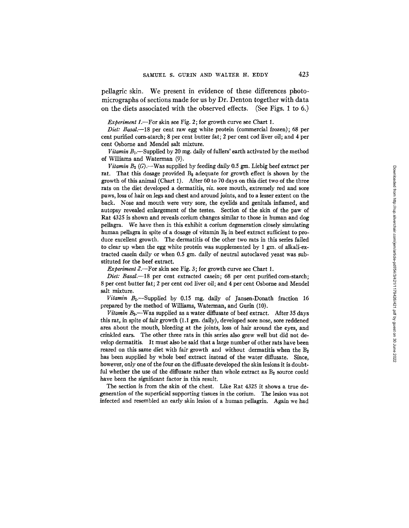pellagric skin. We present in evidence of these differences photomicrographs of sections made for us by Dr. Denton together with data on the diets associated with the observed effects. (See Figs. 1 to 6.)

*Experiment 1.*--For skin see Fig. 2; for growth curve see Chart 1.

*Diet: Basal.*-18 per cent raw egg white protein (commercial frozen); 68 per cent purified corn-starch; 8 per cent butter fat; 2 per cent cod liver oil; and 4 per cent Osborne and Mendel salt mixture.

*Vitamin B*<sub>1</sub>. Supplied by 20 mg. daily of fullers' earth activated by the method of Williams and Waterman (9).

*Vitamin B*<sub>2</sub>  $(G)$ . --Was supplied by feeding daily 0.5 gm. Liebig beef extract per rat. That this dosage provided  $B_2$  adequate for growth effect is shown by the growth of this animal (Chart 1). After 60 to 70 days on this diet two of the three rats on the diet developed a dermatitis, *viz.* sore mouth, extremely red and sore paws, loss of hair on legs and chest and around joints, and to a lesser extent on the back. Nose and mouth were very sore, the eyelids and genitals inflamed, and autopsy revealed enlargement of the testes. Section of the skin of the paw of Rat 4325 is shown and reveals corium changes similar to those in human and dog pellagra. We have then in this exhibit a corium degeneration closely simulating human pellagra in spite of a dosage of vitamin  $B_2$  in beef extract sufficient to produce excellent growth. The dermatitis of the other two rats in this series failed to clear up when the egg white protein was supplemented by 1 gm. of alkali-extracted casein daily or when 0.5 gm. daily of neutral autoclaved yeast was substituted for the beef extract.

*Experiment 2.--For* skin see Fig. 3; for growth curve see Chart 1.

*Diet: Basal.*—18 per cent extracted casein; 68 per cent purified corn-starch; 8 per cent butter fat; 2 per cent cod liver oil; and 4 per cent Osborne and Mendel salt mixture.

*Vitamin B*<sub>1</sub>.-Supplied by 0.15 mg, daily of Jansen-Donath fraction 16 prepared by the method of Williams, Waterman, and Gurin (10).

*Vitamin B*<sub>2</sub>.-Was supplied as a water diffusate of beef extract. After 35 days this rat, in spite of fair growth  $(1.1 \text{ gm. daily})$ , developed sore nose, sore reddened area about the mouth, bleeding at the joints, loss of hair around the eyes, and crinkled ears. The other three rats in this series also grew well but did not develop dermatitis. It must also be said that a large number of other rats have been reared on this same diet with fair growth and without dermatitis when the  $B_2$ has been supplied by whole beef extract instead of the water diffusate. Since, however, only one of the four on the diffusate developed the skin lesions it is doubtful whether the use of the diffusate rather than whole extract as  $B_2$  source could have been the significant factor in this result.

The section is from the skin of the chest. Like Rat 4325 it shows a true degeneration of the superficial supporting tissues in the corium. The lesion was not infected and resembled an early skin lesion of a human pellagrin. Again we had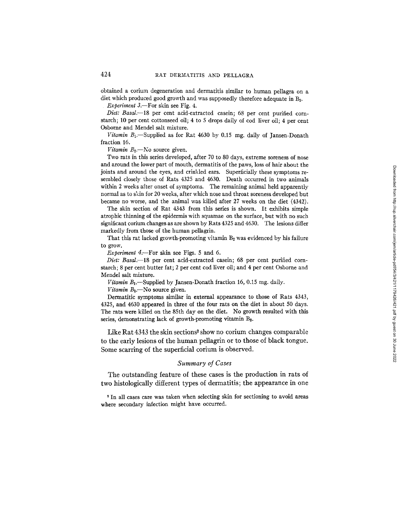obtained a corium degeneration and dermatitis similar to human pellagra on a diet which produced good growth and was supposedly therefore adequate in B2.

*Experiment 3.*-For skin see Fig. 4.

*Diet: Basal.--18* per cent acid-extracted casein; 68 per cent purified cornstarch; 10 per cent cottonseed oil; 4 to 5 drops daily of cod liver oil; 4 per cent Osborne and Mendel salt mixture.

*Vitamin B*<sub>1</sub>.-Supplied as for Rat 4630 by 0.15 mg. daily of Jansen-Donath fraction 16.

*Vitamin B*<sub>2</sub>.-No source given.

Two rats in this series developed, after 70 to 80 days, extreme soreness of nose and around the lower part of mouth, dermatitis of the paws, loss of hair about the joints and around the eyes, and crinkled ears. Superficially these symptoms resembled closely those of Rats 4325 and 4630. Death occurred in two animals within 2 weeks after onset of symptoms. The remaining animal held apparently normal as to skin for 20 weeks, after which nose and throat soreness developed but became no worse, and the animal was killed after 27 weeks on the diet (4342).

The skin section of Rat 4343 from this series is shown. It exhibits simple atrophic thinning of the epidermis with squamae on the surface, but with no such significant corium changes as are shown by Rats 4325 and 4630. The lesions differ markedly from those of the human pellagrin.

That this rat lacked growth-promoting vitamin  $B_2$  was evidenced by his failure to grow.

*Experiment 4*.--For skin see Figs. 5 and 6.

*Diet: Basal.--18* per cent acid-extracted casein; 68 per cent purified cornstarch; 8 per cent butter fat; 2 per cent cod liver oil; and 4 per cent Osborne and Mendel salt mixture.

 $V$ *itamin B*<sub>1</sub>.-Supplied by Jansen-Donath fraction 16, 0.15 mg. daily.

*Vitamin B*<sub>2</sub>.-No source given.

Dermatitic symptoms similar in external appearance to those of Rats 4343, 4325, and 4630 appeared in three of the four rats on the diet in about 50 days. The rats were killed on the 85th day on the diet. No growth resulted with this series, demonstrating lack of growth-promoting vitamin B<sub>2</sub>.

Like Rat  $4343$  the skin sections<sup>2</sup> show no corium changes comparable to the early lesions of the human pellagrin or to those of black tongue. Some scarring of the superficial corium is observed.

### *Summary of Cases*

The outstanding feature of these cases is the production in rats of two histologically different types of dermatitis; the appearance in one

<sup>2</sup> In all cases care was taken when selecting skin for sectioning to avoid areas where secondary infection might have occurred.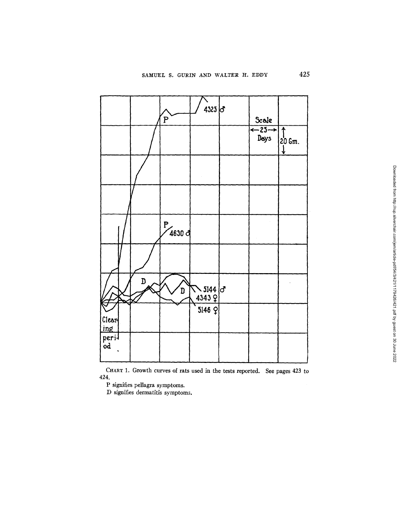

CHART 1. Growth curves of rats used in the tests reported. See pages 423 to 424.

P signifies pellagra symptoms.

D signifies dermatitis symptoms.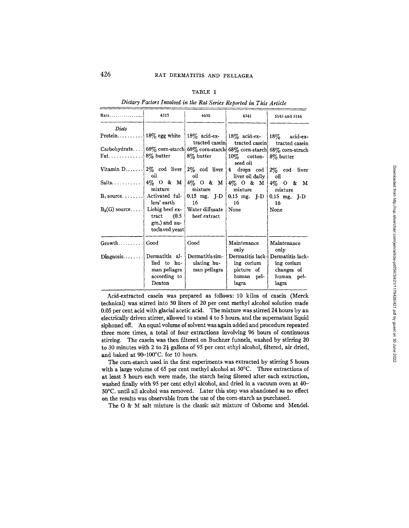## TABLE I

Ra~ ................. 4325 4630 4343 5143 and 5146 *Diets*  Protein........ Carbohydrate... Fat. . . . . . . . . . . . . Vitamin D...... Salts ...........  $B_1$  source.......  $B_2(G)$  source .... Growth......... Diagnosis....... 18% egg white  $68\%$  corn-starch 8% butter 2% cod liver oil 4% O & M mixture Activated fullers' earth Liebig beef extract (0.5 gm.) and autoclaved yeast Good Dermatitis allied to human pellagra according to Denton 18% acid-extracted casein 68% corn-starch 8% butter 2% cod liver oil 4% O & M mixture 0.15 mg. I-D 16 Water diffusate beef extract Good Dermatitis simulating human pellagra 18% acid-extracted casein 68% corn-starch 10% cottonseed oil 4 drops cod liver oil daily 4%O&M mixture 0.15 mg. J-D 16 None Maintenance only Dermatitis lacking corium picture of human pellagra 18% acid-extracted casein 68% corn-strach 8% butter 2% cod liver oil 4% O & M mixture 0.15 mg. J-D 16 None Maintenance only Dermatitis lacking corium changes of human pellagra

*Dietary Factors Involved in the Rat Series Reported in This Article* 

Acid-extracted casein was prepared as follows: 10 kilos of casein (Merck technical) was stirred into 50 liters of 20 per cent methyl alcohol solution made 0.05 per cent acid with glacial acetic acid. The mixture was stirred 24 hours by an electrically driven stirrer, allowed to stand 4 to 5 hours, and the supernatant liquid siphoned off. An equal volume of solvent was again added and procedure repeated three more times, a total of four extractions involving 96 hours of continuous stirring. The casein was then filtered on Buchner funnels, washed by stirring 20 to 30 minutes with 2 to  $2\frac{1}{2}$  gallons of 95 per cent ethyl alcohol, filtered, air dried, and baked at 90-100°C. for 10 hours.

The corn-starch used in the first experiments was extracted by stirring 5 hours with a large volume of 65 per cent methyl alcohol at 50°C. Three extractions of at least 5 hours each were made, the starch being filtered after each extraction, washed finally with 95 per cent ethyl alcohol, and dried in a vacuum oven at 40- 50°C. until all alcohol was removed. Later this step was abandoned as no effect on the results was observable from the use of the corn-starch as purchased.

The O & M salt mixture is the classic salt mixture of Osborne and Mendel.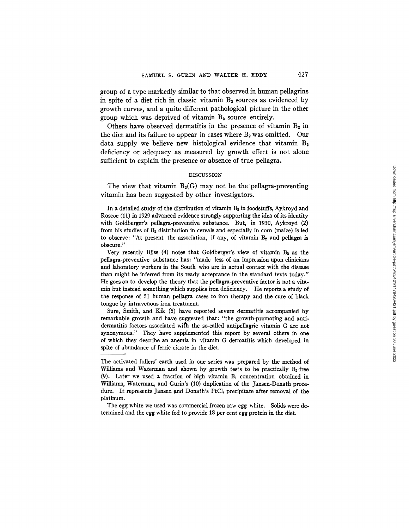group of a type markedly similar to that observed in human pellagrins in spite of a diet rich in classic vitamin  $B_2$  sources as evidenced by growth curves, and a quite different pathological picture in the other group which was deprived of vitamin  $B_2$  source entirely.

Others have observed dermatitis in the presence of vitamin  $B_2$  in the diet and its failure to appear in cases where  $B_2$  was omitted. Our data supply we believe new histological evidence that vitamin  $B_2$ deficiency or adequacy as measured by growth effect is not alone sufficient to explain the presence or absence of true pellagra.

# DISCUSSION

The view that vitamin  $B_2(G)$  may not be the pellagra-preventing vitamin has been suggested by other investigators.

In a detailed study of the distribution of vitamin  $B_2$  in foodstuffs, Aykroyd and Roscoe (11) in 1929 advanced evidence strongly supporting the idea of its identity with Goldberger's pellagra-preventive substance. But, in 1930, Aykroyd (2) from his studies of  $B<sub>2</sub>$  distribution in cereals and especially in corn (maize) is led to observe: "At present the association, if any, of vitamin  $B<sub>2</sub>$  and pellagra is obscure."

Very recently Bliss  $(4)$  notes that Goldberger's view of vitamin  $B<sub>2</sub>$  as the pellagra-preventive substance has: "made less of an impression upon clinicians and laboratory workers in the South who are in actual contact with the disease than might be inferred from its ready acceptance in the standard texts today." He goes on to develop the theory that the pellagra-preventive factor is not a vitamin but instead something which supplies iron deficiency. He reports a study of the response of 51 human pellagra cases to iron therapy and the cure of black tongue by intravenous iron treatment.

Sure, Smith, and Kik (5) have reported severe dermatitis accompanied by remarkable growth and have suggested that: "the growth-promoting and antidermatitis factors associated with the so-called antipellagric vitamin G are not synonymous." They have supplemented this report by several others in one of which they describe an anemia in vitamin G dermatitis which developed in spite of abundance of ferric citrate in the diet.

The activated fullers' earth used in one series was prepared by the method of Williams and Waterman and shown by growth tests to be practically  $B_2$ -free (9). Later we used a fraction of high vitamin B, concentration obtained in Williams, Waterman, and Gurin's (10) duplication of the Jansen-Donath procedure. It represents Jansen and Donath's  $P<sub>t</sub>Cl<sub>t</sub>$  precipitate after removal of the platinum.

The egg white we used was commercial frozen raw egg white. Solids were determined and the egg white fed to provide 18 per cent egg protein in the diet.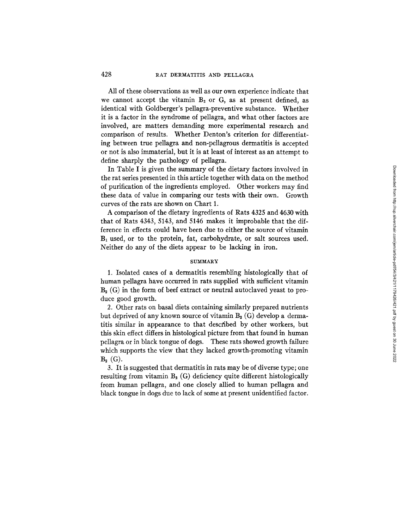All of these observations as well as our own experience indicate that we cannot accept the vitamin  $B_2$  or G, as at present defined, as identical with Goldberger's pellagra-preventive substance. Whether it is a factor in the syndrome of pellagra, and what other factors are involved, are matters demanding more experimental research and comparison of results. Whether Denton's criterion for differentiating between true pellagra and non-pellagrous dermatitis is accepted or not is also immaterial, but it is at least of interest as an attempt to define sharply the pathology of pellagra.

In Table I is given the summary of the dietary factors involved in the rat series presented in this article together with data on the method of purification of the ingredients employed. Other workers may find these data of value in comparing our tests with their own. Growth curves of the rats are shown on Chart 1.

A comparison of the dietary ingredients of Rats 4325 and 4630 with that of Rats 4343, 5143, and 5146 makes it improbable that the difference in effects could have been due to either the source of vitamin  $B_1$  used, or to the protein, fat, carbohydrate, or salt sources used. Neither do any of the diets appear to be lacking in iron.

# **SUMMARY**

1. Isolated cases of a dermatitis resembling histologically that of human pellagra have occurred in rats supplied with sufficient vitamin  $B<sub>2</sub>$  (G) in the form of beef extract or neutral autoclaved yeast to produce good growth.

2. Other rats on basal diets containing similarly prepared nutrients but deprived of any known source of vitamin  $B_2(G)$  develop a dermatitis similar in appearance to that described by other workers, but this skin effect differs in histological picture from that found in human pellagra or in black tongue of dogs. These rats showed growth failure which supports the view that they lacked growth-promoting vitamin  $B_{2}$  (G).

3. It is suggested that dermatitis in rats may be of diverse type; one resulting from vitamin  $B_2$  (G) deficiency quite different histologically from human pellagra, and one closely allied to human pellagra and black tongue in dogs due to lack of some at present unidentified factor.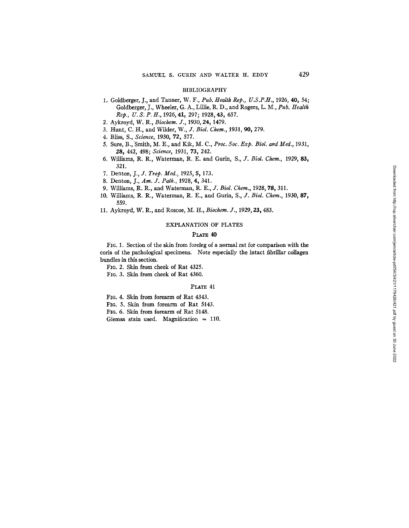#### BIBLIOGRAPHY

- 1. Goldberger, J., and Tanner, W. F., *Pub. Health Rep., U.S.P.H.,* 1926, 40, 54; Goldberger, J., Wheeler, G. A., Lillie, R. D., and Rogers, L. M., Pub. Health *Rep., U.S.P.H.,* 1926, 41, 297; 1928, 43, 657.
- 2. Aykroyd, W. R., *Biochem. J.,* 1930, 24, 1479.
- 3. Hunt, C. H., and Wilder, *W., J. Biol. Chem.,* 1931, *90,* 279.
- 4. Bliss, S., *Science,* 1930, 72, 577.
- 5. Sure, B.,'Smith, M. E., and Kik, M. C., *Proc. Soc. Exp. Biol. and Med.,* 1931, 28, 442, 498; *Science,* 1931, 73, 242.
- 6. Williams, R. R., Waterman, R. E. and Gurin, *S., J. Biol. Chem.,* 1929, 83, 321.
- 7. Denton, *J., J. Trop. Med.,* 1925, 5, 173.
- 8. Denton, J., *Am. J. Path.,* 1928, 4, 341.
- 9. Williams, R. R., and Waterman, *R. E., J. Biol. Chem.,* 1928, 78, 311.
- 10. Williams, R. R., Waterman, R. E., and Gurin, *S., J. Biol. Chem.,* 1930, 87, 559.
- 11. Aykroyd, W. R., and Roscoe, M. H., *Biochem. J.,* 1929, 23~ 483.

# EXPLANATION OF PLATES

## PLATE 40

FIC. 1. Section of the skin from foreleg of a normal rat for comparison with the coria of the pathological specimens. Note especially the intact fibrillar collagen bundles in this section.

FIc. 2. Skin from cheek of Rat 4325.

FIG. 3. Skin from cheek of Rat 4360.

### PLATE 41

FIG. 4. Skin from forearm of Rat 4343.

FIG. 5. Skin from forearm of Rat 5143.

FIG. 6. Skin from forearm of Rat 5148.

Giemsa stain used. Magnification = 110.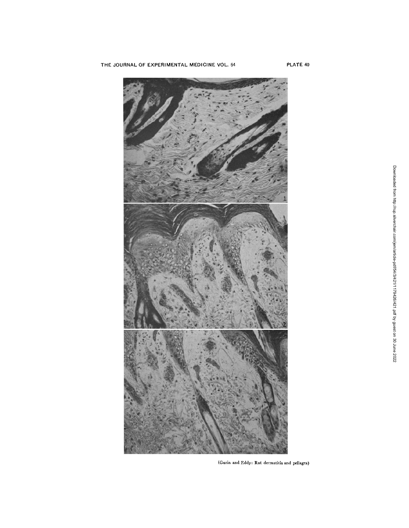

(Gurin and Eddy: Rat dermatitis and pellagra)